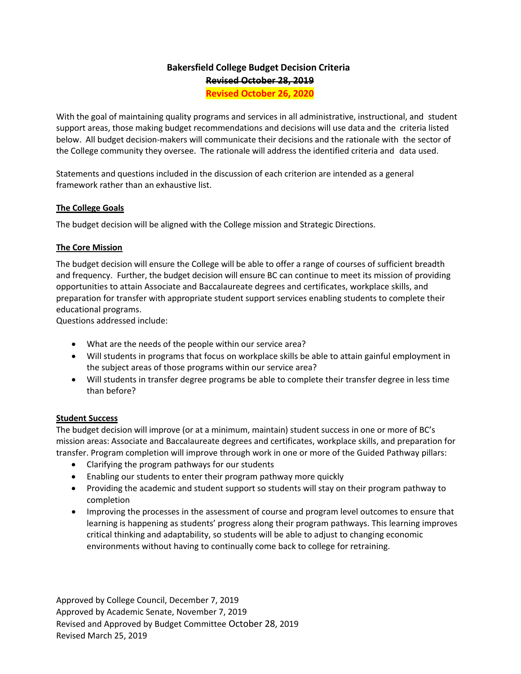# **Bakersfield College Budget Decision Criteria Revised October 28, 2019**

**Revised October 26, 2020**

With the goal of maintaining quality programs and services in all administrative, instructional, and student support areas, those making budget recommendations and decisions will use data and the criteria listed below. All budget decision-makers will communicate their decisions and the rationale with the sector of the College community they oversee. The rationale will address the identified criteria and data used.

Statements and questions included in the discussion of each criterion are intended as a general framework rather than an exhaustive list.

## **The College Goals**

The budget decision will be aligned with the College mission and Strategic Directions.

## **The Core Mission**

The budget decision will ensure the College will be able to offer a range of courses of sufficient breadth and frequency. Further, the budget decision will ensure BC can continue to meet its mission of providing opportunities to attain Associate and Baccalaureate degrees and certificates, workplace skills, and preparation for transfer with appropriate student support services enabling students to complete their educational programs.

Questions addressed include:

- What are the needs of the people within our service area?
- Will students in programs that focus on workplace skills be able to attain gainful employment in the subject areas of those programs within our service area?
- Will students in transfer degree programs be able to complete their transfer degree in less time than before?

#### **Student Success**

The budget decision will improve (or at a minimum, maintain) student success in one or more of BC's mission areas: Associate and Baccalaureate degrees and certificates, workplace skills, and preparation for transfer. Program completion will improve through work in one or more of the Guided Pathway pillars:

- Clarifying the program pathways for our students
- Enabling our students to enter their program pathway more quickly
- Providing the academic and student support so students will stay on their program pathway to completion
- Improving the processes in the assessment of course and program level outcomes to ensure that learning is happening as students' progress along their program pathways. This learning improves critical thinking and adaptability, so students will be able to adjust to changing economic environments without having to continually come back to college for retraining.

Approved by College Council, December 7, 2019 Approved by Academic Senate, November 7, 2019 Revised and Approved by Budget Committee October 28, 2019 Revised March 25, 2019